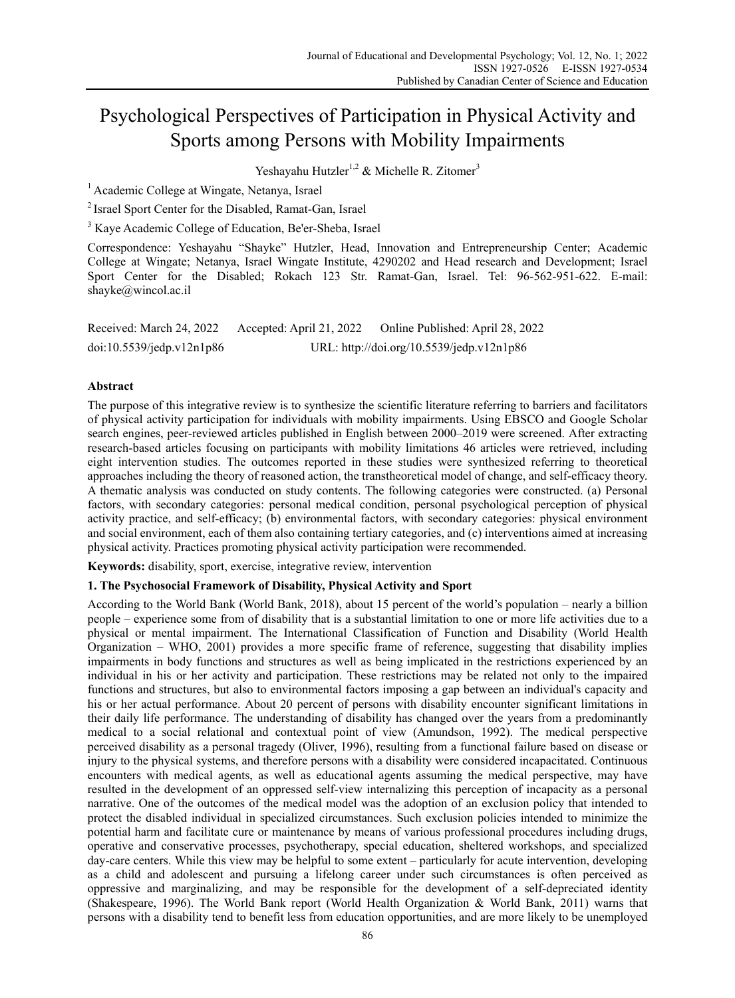# Psychological Perspectives of Participation in Physical Activity and Sports among Persons with Mobility Impairments

Yeshayahu Hutzler<sup>1,2</sup> & Michelle R. Zitomer<sup>3</sup>

<sup>1</sup> Academic College at Wingate, Netanya, Israel

2 Israel Sport Center for the Disabled, Ramat-Gan, Israel

<sup>3</sup> Kaye Academic College of Education, Be'er-Sheba, Israel

Correspondence: Yeshayahu "Shayke" Hutzler, Head, Innovation and Entrepreneurship Center; Academic College at Wingate; Netanya, Israel Wingate Institute, 4290202 and Head research and Development; Israel Sport Center for the Disabled; Rokach 123 Str. Ramat-Gan, Israel. Tel: 96-562-951-622. E-mail: shayke@wincol.ac.il

| Received: March 24, 2022  | Accepted: April 21, 2022 | Online Published: April 28, 2022          |
|---------------------------|--------------------------|-------------------------------------------|
| doi:10.5539/jedp.v12n1p86 |                          | URL: http://doi.org/10.5539/jedp.v12n1p86 |

## **Abstract**

The purpose of this integrative review is to synthesize the scientific literature referring to barriers and facilitators of physical activity participation for individuals with mobility impairments. Using EBSCO and Google Scholar search engines, peer-reviewed articles published in English between 2000–2019 were screened. After extracting research-based articles focusing on participants with mobility limitations 46 articles were retrieved, including eight intervention studies. The outcomes reported in these studies were synthesized referring to theoretical approaches including the theory of reasoned action, the transtheoretical model of change, and self-efficacy theory. A thematic analysis was conducted on study contents. The following categories were constructed. (a) Personal factors, with secondary categories: personal medical condition, personal psychological perception of physical activity practice, and self-efficacy; (b) environmental factors, with secondary categories: physical environment and social environment, each of them also containing tertiary categories, and (c) interventions aimed at increasing physical activity. Practices promoting physical activity participation were recommended.

**Keywords:** disability, sport, exercise, integrative review, intervention

## **1. The Psychosocial Framework of Disability, Physical Activity and Sport**

According to the World Bank (World Bank, 2018), about 15 percent of the world's population – nearly a billion people – experience some from of disability that is a substantial limitation to one or more life activities due to a physical or mental impairment. The International Classification of Function and Disability (World Health Organization – WHO, 2001) provides a more specific frame of reference, suggesting that disability implies impairments in body functions and structures as well as being implicated in the restrictions experienced by an individual in his or her activity and participation. These restrictions may be related not only to the impaired functions and structures, but also to environmental factors imposing a gap between an individual's capacity and his or her actual performance. About 20 percent of persons with disability encounter significant limitations in their daily life performance. The understanding of disability has changed over the years from a predominantly medical to a social relational and contextual point of view (Amundson, 1992). The medical perspective perceived disability as a personal tragedy (Oliver, 1996), resulting from a functional failure based on disease or injury to the physical systems, and therefore persons with a disability were considered incapacitated. Continuous encounters with medical agents, as well as educational agents assuming the medical perspective, may have resulted in the development of an oppressed self-view internalizing this perception of incapacity as a personal narrative. One of the outcomes of the medical model was the adoption of an exclusion policy that intended to protect the disabled individual in specialized circumstances. Such exclusion policies intended to minimize the potential harm and facilitate cure or maintenance by means of various professional procedures including drugs, operative and conservative processes, psychotherapy, special education, sheltered workshops, and specialized day-care centers. While this view may be helpful to some extent – particularly for acute intervention, developing as a child and adolescent and pursuing a lifelong career under such circumstances is often perceived as oppressive and marginalizing, and may be responsible for the development of a self-depreciated identity (Shakespeare, 1996). The World Bank report (World Health Organization & World Bank, 2011) warns that persons with a disability tend to benefit less from education opportunities, and are more likely to be unemployed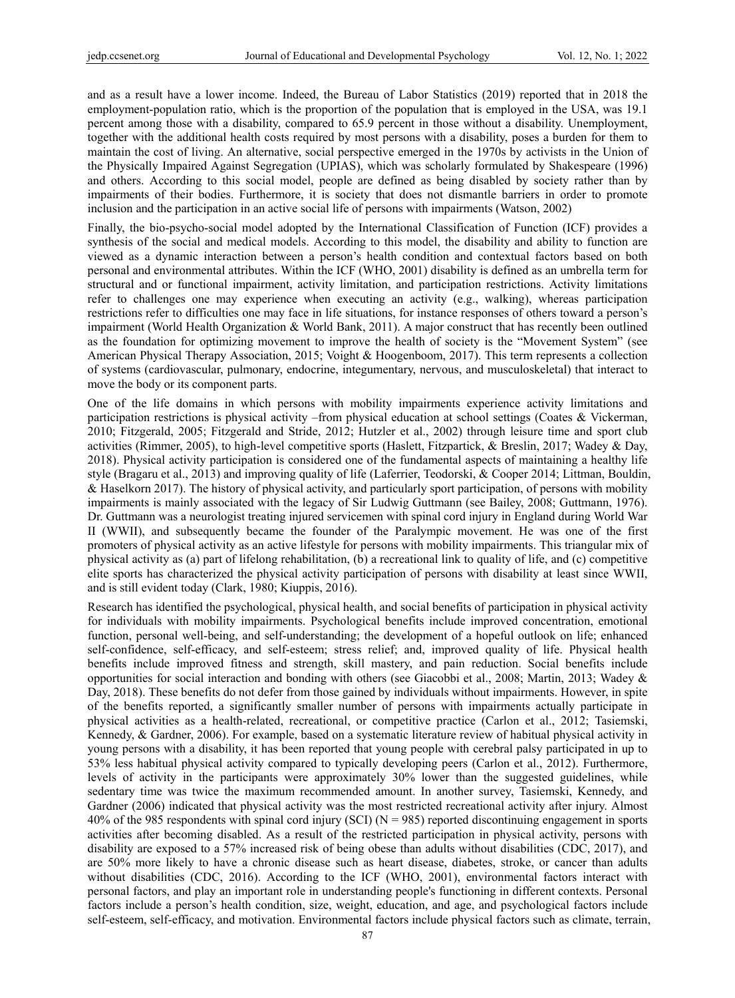and as a result have a lower income. Indeed, the Bureau of Labor Statistics (2019) reported that in 2018 the employment-population ratio, which is the proportion of the population that is employed in the USA, was 19.1 percent among those with a disability, compared to 65.9 percent in those without a disability. Unemployment, together with the additional health costs required by most persons with a disability, poses a burden for them to maintain the cost of living. An alternative, social perspective emerged in the 1970s by activists in the Union of the Physically Impaired Against Segregation (UPIAS), which was scholarly formulated by Shakespeare (1996) and others. According to this social model, people are defined as being disabled by society rather than by impairments of their bodies. Furthermore, it is society that does not dismantle barriers in order to promote inclusion and the participation in an active social life of persons with impairments (Watson, 2002)

Finally, the bio-psycho-social model adopted by the International Classification of Function (ICF) provides a synthesis of the social and medical models. According to this model, the disability and ability to function are viewed as a dynamic interaction between a person's health condition and contextual factors based on both personal and environmental attributes. Within the ICF (WHO, 2001) disability is defined as an umbrella term for structural and or functional impairment, activity limitation, and participation restrictions. Activity limitations refer to challenges one may experience when executing an activity (e.g., walking), whereas participation restrictions refer to difficulties one may face in life situations, for instance responses of others toward a person's impairment (World Health Organization & World Bank, 2011). A major construct that has recently been outlined as the foundation for optimizing movement to improve the health of society is the "Movement System" (see American Physical Therapy Association, 2015; Voight & Hoogenboom, 2017). This term represents a collection of systems (cardiovascular, pulmonary, endocrine, integumentary, nervous, and musculoskeletal) that interact to move the body or its component parts.

One of the life domains in which persons with mobility impairments experience activity limitations and participation restrictions is physical activity –from physical education at school settings (Coates & Vickerman, 2010; Fitzgerald, 2005; Fitzgerald and Stride, 2012; Hutzler et al., 2002) through leisure time and sport club activities (Rimmer, 2005), to high-level competitive sports (Haslett, Fitzpartick, & Breslin, 2017; Wadey & Day, 2018). Physical activity participation is considered one of the fundamental aspects of maintaining a healthy life style (Bragaru et al., 2013) and improving quality of life (Laferrier, Teodorski, & Cooper 2014; Littman, Bouldin, & Haselkorn 2017). The history of physical activity, and particularly sport participation, of persons with mobility impairments is mainly associated with the legacy of Sir Ludwig Guttmann (see Bailey, 2008; Guttmann, 1976). Dr. Guttmann was a neurologist treating injured servicemen with spinal cord injury in England during World War II (WWII), and subsequently became the founder of the Paralympic movement. He was one of the first promoters of physical activity as an active lifestyle for persons with mobility impairments. This triangular mix of physical activity as (a) part of lifelong rehabilitation, (b) a recreational link to quality of life, and (c) competitive elite sports has characterized the physical activity participation of persons with disability at least since WWII, and is still evident today (Clark, 1980; Kiuppis, 2016).

Research has identified the psychological, physical health, and social benefits of participation in physical activity for individuals with mobility impairments. Psychological benefits include improved concentration, emotional function, personal well-being, and self-understanding; the development of a hopeful outlook on life; enhanced self-confidence, self-efficacy, and self-esteem; stress relief; and, improved quality of life. Physical health benefits include improved fitness and strength, skill mastery, and pain reduction. Social benefits include opportunities for social interaction and bonding with others (see Giacobbi et al., 2008; Martin, 2013; Wadey & Day, 2018). These benefits do not defer from those gained by individuals without impairments. However, in spite of the benefits reported, a significantly smaller number of persons with impairments actually participate in physical activities as a health-related, recreational, or competitive practice (Carlon et al., 2012; Tasiemski, Kennedy, & Gardner, 2006). For example, based on a systematic literature review of habitual physical activity in young persons with a disability, it has been reported that young people with cerebral palsy participated in up to 53% less habitual physical activity compared to typically developing peers (Carlon et al., 2012). Furthermore, levels of activity in the participants were approximately 30% lower than the suggested guidelines, while sedentary time was twice the maximum recommended amount. In another survey, Tasiemski, Kennedy, and Gardner (2006) indicated that physical activity was the most restricted recreational activity after injury. Almost 40% of the 985 respondents with spinal cord injury (SCI) ( $N = 985$ ) reported discontinuing engagement in sports activities after becoming disabled. As a result of the restricted participation in physical activity, persons with disability are exposed to a 57% increased risk of being obese than adults without disabilities (CDC, 2017), and are 50% more likely to have a chronic disease such as heart disease, diabetes, stroke, or cancer than adults without disabilities (CDC, 2016). According to the ICF (WHO, 2001), environmental factors interact with personal factors, and play an important role in understanding people's functioning in different contexts. Personal factors include a person's health condition, size, weight, education, and age, and psychological factors include self-esteem, self-efficacy, and motivation. Environmental factors include physical factors such as climate, terrain,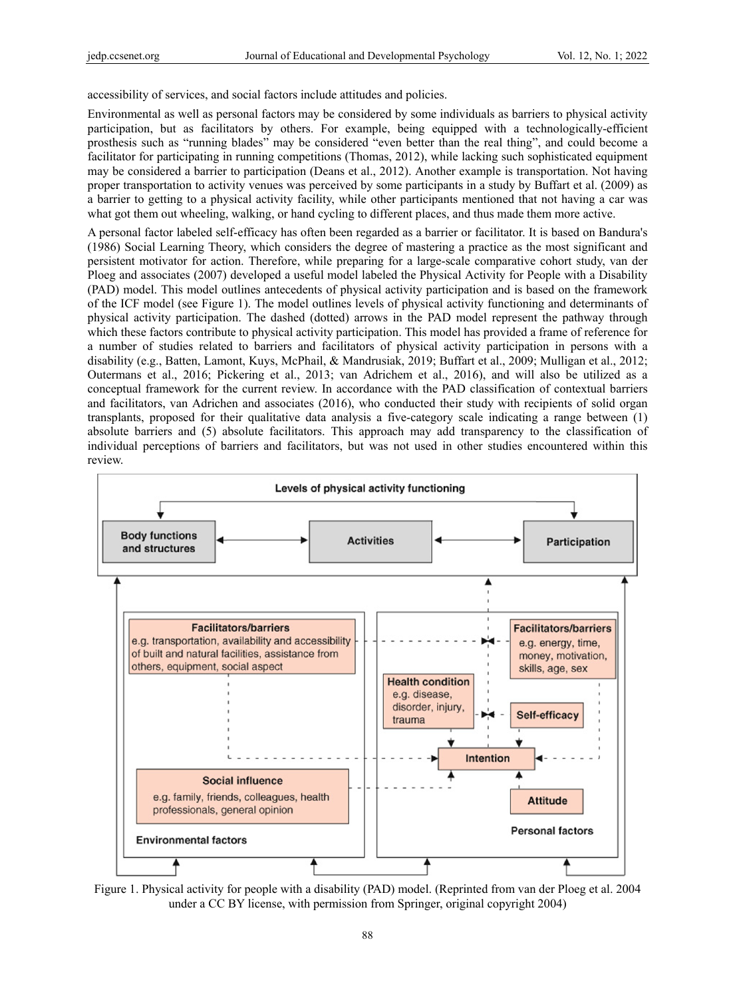accessibility of services, and social factors include attitudes and policies.

Environmental as well as personal factors may be considered by some individuals as barriers to physical activity participation, but as facilitators by others. For example, being equipped with a technologically-efficient prosthesis such as "running blades" may be considered "even better than the real thing", and could become a facilitator for participating in running competitions (Thomas, 2012), while lacking such sophisticated equipment may be considered a barrier to participation (Deans et al., 2012). Another example is transportation. Not having proper transportation to activity venues was perceived by some participants in a study by Buffart et al. (2009) as a barrier to getting to a physical activity facility, while other participants mentioned that not having a car was what got them out wheeling, walking, or hand cycling to different places, and thus made them more active.

A personal factor labeled self-efficacy has often been regarded as a barrier or facilitator. It is based on Bandura's (1986) Social Learning Theory, which considers the degree of mastering a practice as the most significant and persistent motivator for action. Therefore, while preparing for a large-scale comparative cohort study, van der Ploeg and associates (2007) developed a useful model labeled the Physical Activity for People with a Disability (PAD) model. This model outlines antecedents of physical activity participation and is based on the framework of the ICF model (see Figure 1). The model outlines levels of physical activity functioning and determinants of physical activity participation. The dashed (dotted) arrows in the PAD model represent the pathway through which these factors contribute to physical activity participation. This model has provided a frame of reference for a number of studies related to barriers and facilitators of physical activity participation in persons with a disability (e.g., Batten, Lamont, Kuys, McPhail, & Mandrusiak, 2019; Buffart et al., 2009; Mulligan et al., 2012; Outermans et al., 2016; Pickering et al., 2013; van Adrichem et al., 2016), and will also be utilized as a conceptual framework for the current review. In accordance with the PAD classification of contextual barriers and facilitators, van Adrichen and associates (2016), who conducted their study with recipients of solid organ transplants, proposed for their qualitative data analysis a five-category scale indicating a range between (1) absolute barriers and (5) absolute facilitators. This approach may add transparency to the classification of individual perceptions of barriers and facilitators, but was not used in other studies encountered within this review.



Figure 1. Physical activity for people with a disability (PAD) model. (Reprinted from van der Ploeg et al. 2004 under a CC BY license, with permission from Springer, original copyright 2004)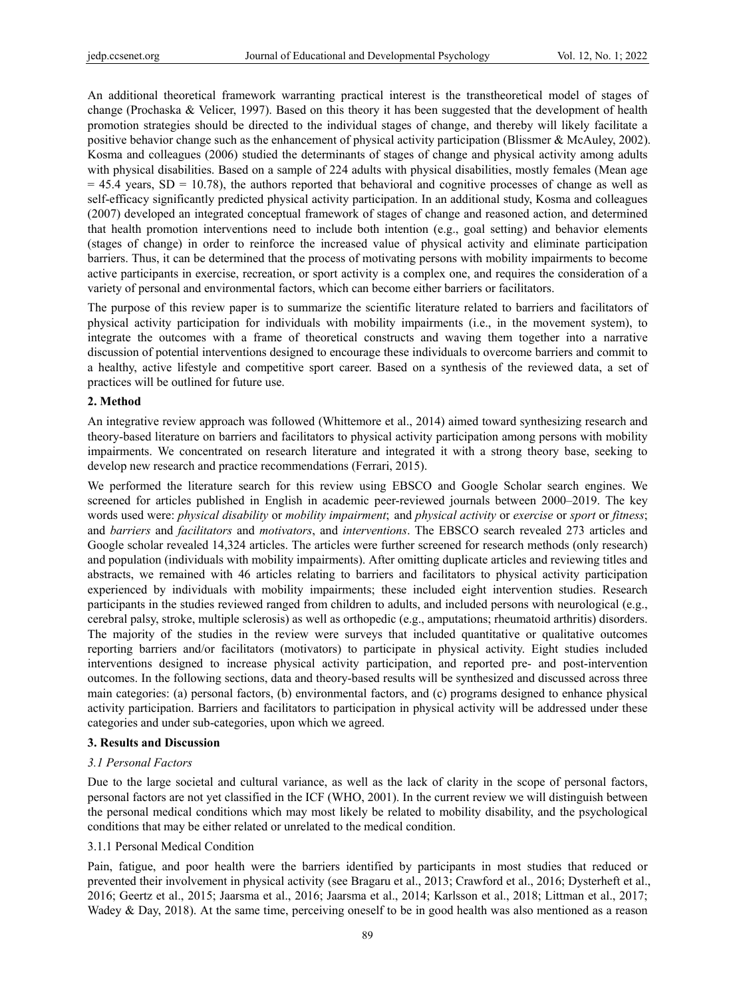An additional theoretical framework warranting practical interest is the transtheoretical model of stages of change (Prochaska & Velicer, 1997). Based on this theory it has been suggested that the development of health promotion strategies should be directed to the individual stages of change, and thereby will likely facilitate a positive behavior change such as the enhancement of physical activity participation (Blissmer & McAuley, 2002). Kosma and colleagues (2006) studied the determinants of stages of change and physical activity among adults with physical disabilities. Based on a sample of 224 adults with physical disabilities, mostly females (Mean age  $= 45.4$  years, SD = 10.78), the authors reported that behavioral and cognitive processes of change as well as self-efficacy significantly predicted physical activity participation. In an additional study, Kosma and colleagues (2007) developed an integrated conceptual framework of stages of change and reasoned action, and determined that health promotion interventions need to include both intention (e.g., goal setting) and behavior elements (stages of change) in order to reinforce the increased value of physical activity and eliminate participation barriers. Thus, it can be determined that the process of motivating persons with mobility impairments to become active participants in exercise, recreation, or sport activity is a complex one, and requires the consideration of a variety of personal and environmental factors, which can become either barriers or facilitators.

The purpose of this review paper is to summarize the scientific literature related to barriers and facilitators of physical activity participation for individuals with mobility impairments (i.e., in the movement system), to integrate the outcomes with a frame of theoretical constructs and waving them together into a narrative discussion of potential interventions designed to encourage these individuals to overcome barriers and commit to a healthy, active lifestyle and competitive sport career. Based on a synthesis of the reviewed data, a set of practices will be outlined for future use.

#### **2. Method**

An integrative review approach was followed (Whittemore et al., 2014) aimed toward synthesizing research and theory-based literature on barriers and facilitators to physical activity participation among persons with mobility impairments. We concentrated on research literature and integrated it with a strong theory base, seeking to develop new research and practice recommendations (Ferrari, 2015).

We performed the literature search for this review using EBSCO and Google Scholar search engines. We screened for articles published in English in academic peer-reviewed journals between 2000–2019. The key words used were: *physical disability* or *mobility impairment*; and *physical activity* or *exercise* or *sport* or *fitness*; and *barriers* and *facilitators* and *motivators*, and *interventions*. The EBSCO search revealed 273 articles and Google scholar revealed 14,324 articles. The articles were further screened for research methods (only research) and population (individuals with mobility impairments). After omitting duplicate articles and reviewing titles and abstracts, we remained with 46 articles relating to barriers and facilitators to physical activity participation experienced by individuals with mobility impairments; these included eight intervention studies. Research participants in the studies reviewed ranged from children to adults, and included persons with neurological (e.g., cerebral palsy, stroke, multiple sclerosis) as well as orthopedic (e.g., amputations; rheumatoid arthritis) disorders. The majority of the studies in the review were surveys that included quantitative or qualitative outcomes reporting barriers and/or facilitators (motivators) to participate in physical activity. Eight studies included interventions designed to increase physical activity participation, and reported pre- and post-intervention outcomes. In the following sections, data and theory-based results will be synthesized and discussed across three main categories: (a) personal factors, (b) environmental factors, and (c) programs designed to enhance physical activity participation. Barriers and facilitators to participation in physical activity will be addressed under these categories and under sub-categories, upon which we agreed.

#### **3. Results and Discussion**

## *3.1 Personal Factors*

Due to the large societal and cultural variance, as well as the lack of clarity in the scope of personal factors, personal factors are not yet classified in the ICF (WHO, 2001). In the current review we will distinguish between the personal medical conditions which may most likely be related to mobility disability, and the psychological conditions that may be either related or unrelated to the medical condition.

#### 3.1.1 Personal Medical Condition

Pain, fatigue, and poor health were the barriers identified by participants in most studies that reduced or prevented their involvement in physical activity (see Bragaru et al., 2013; Crawford et al., 2016; Dysterheft et al., 2016; Geertz et al., 2015; Jaarsma et al., 2016; Jaarsma et al., 2014; Karlsson et al., 2018; Littman et al., 2017; Wadey & Day, 2018). At the same time, perceiving oneself to be in good health was also mentioned as a reason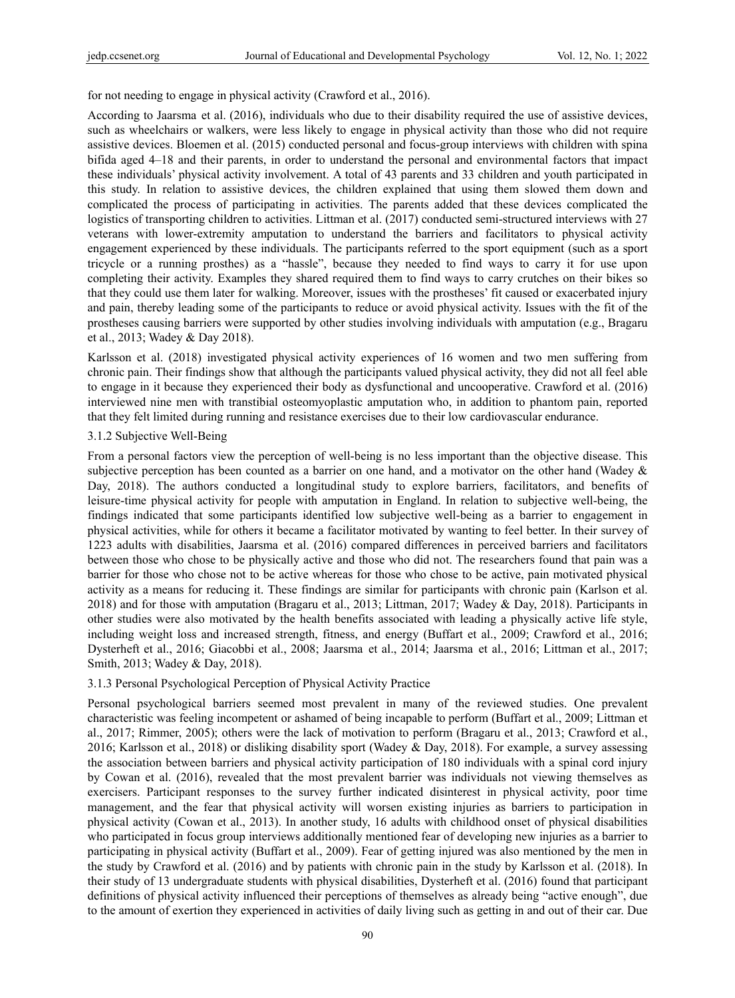for not needing to engage in physical activity (Crawford et al., 2016).

According to Jaarsma et al. (2016), individuals who due to their disability required the use of assistive devices, such as wheelchairs or walkers, were less likely to engage in physical activity than those who did not require assistive devices. Bloemen et al. (2015) conducted personal and focus-group interviews with children with spina bifida aged 4–18 and their parents, in order to understand the personal and environmental factors that impact these individuals' physical activity involvement. A total of 43 parents and 33 children and youth participated in this study. In relation to assistive devices, the children explained that using them slowed them down and complicated the process of participating in activities. The parents added that these devices complicated the logistics of transporting children to activities. Littman et al. (2017) conducted semi-structured interviews with 27 veterans with lower-extremity amputation to understand the barriers and facilitators to physical activity engagement experienced by these individuals. The participants referred to the sport equipment (such as a sport tricycle or a running prosthes) as a "hassle", because they needed to find ways to carry it for use upon completing their activity. Examples they shared required them to find ways to carry crutches on their bikes so that they could use them later for walking. Moreover, issues with the prostheses' fit caused or exacerbated injury and pain, thereby leading some of the participants to reduce or avoid physical activity. Issues with the fit of the prostheses causing barriers were supported by other studies involving individuals with amputation (e.g., Bragaru et al., 2013; Wadey & Day 2018).

Karlsson et al. (2018) investigated physical activity experiences of 16 women and two men suffering from chronic pain. Their findings show that although the participants valued physical activity, they did not all feel able to engage in it because they experienced their body as dysfunctional and uncooperative. Crawford et al. (2016) interviewed nine men with transtibial osteomyoplastic amputation who, in addition to phantom pain, reported that they felt limited during running and resistance exercises due to their low cardiovascular endurance.

#### 3.1.2 Subjective Well-Being

From a personal factors view the perception of well-being is no less important than the objective disease. This subjective perception has been counted as a barrier on one hand, and a motivator on the other hand (Wadey & Day, 2018). The authors conducted a longitudinal study to explore barriers, facilitators, and benefits of leisure-time physical activity for people with amputation in England. In relation to subjective well-being, the findings indicated that some participants identified low subjective well-being as a barrier to engagement in physical activities, while for others it became a facilitator motivated by wanting to feel better. In their survey of 1223 adults with disabilities, Jaarsma et al. (2016) compared differences in perceived barriers and facilitators between those who chose to be physically active and those who did not. The researchers found that pain was a barrier for those who chose not to be active whereas for those who chose to be active, pain motivated physical activity as a means for reducing it. These findings are similar for participants with chronic pain (Karlson et al. 2018) and for those with amputation (Bragaru et al., 2013; Littman, 2017; Wadey & Day, 2018). Participants in other studies were also motivated by the health benefits associated with leading a physically active life style, including weight loss and increased strength, fitness, and energy (Buffart et al., 2009; Crawford et al., 2016; Dysterheft et al., 2016; Giacobbi et al., 2008; Jaarsma et al., 2014; Jaarsma et al., 2016; Littman et al., 2017; Smith, 2013; Wadey & Day, 2018).

## 3.1.3 Personal Psychological Perception of Physical Activity Practice

Personal psychological barriers seemed most prevalent in many of the reviewed studies. One prevalent characteristic was feeling incompetent or ashamed of being incapable to perform (Buffart et al., 2009; Littman et al., 2017; Rimmer, 2005); others were the lack of motivation to perform (Bragaru et al., 2013; Crawford et al., 2016; Karlsson et al., 2018) or disliking disability sport (Wadey & Day, 2018). For example, a survey assessing the association between barriers and physical activity participation of 180 individuals with a spinal cord injury by Cowan et al. (2016), revealed that the most prevalent barrier was individuals not viewing themselves as exercisers. Participant responses to the survey further indicated disinterest in physical activity, poor time management, and the fear that physical activity will worsen existing injuries as barriers to participation in physical activity (Cowan et al., 2013). In another study, 16 adults with childhood onset of physical disabilities who participated in focus group interviews additionally mentioned fear of developing new injuries as a barrier to participating in physical activity (Buffart et al., 2009). Fear of getting injured was also mentioned by the men in the study by Crawford et al. (2016) and by patients with chronic pain in the study by Karlsson et al. (2018). In their study of 13 undergraduate students with physical disabilities, Dysterheft et al. (2016) found that participant definitions of physical activity influenced their perceptions of themselves as already being "active enough", due to the amount of exertion they experienced in activities of daily living such as getting in and out of their car. Due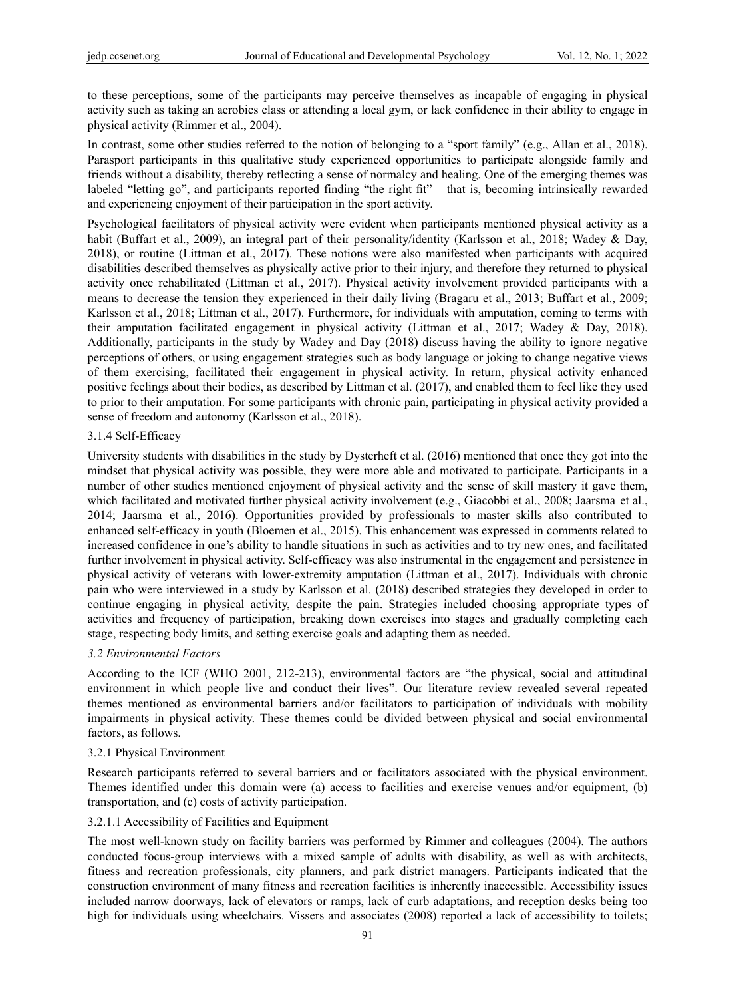to these perceptions, some of the participants may perceive themselves as incapable of engaging in physical activity such as taking an aerobics class or attending a local gym, or lack confidence in their ability to engage in physical activity (Rimmer et al., 2004).

In contrast, some other studies referred to the notion of belonging to a "sport family" (e.g., Allan et al., 2018). Parasport participants in this qualitative study experienced opportunities to participate alongside family and friends without a disability, thereby reflecting a sense of normalcy and healing. One of the emerging themes was labeled "letting go", and participants reported finding "the right fit" – that is, becoming intrinsically rewarded and experiencing enjoyment of their participation in the sport activity.

Psychological facilitators of physical activity were evident when participants mentioned physical activity as a habit (Buffart et al., 2009), an integral part of their personality/identity (Karlsson et al., 2018; Wadey & Day, 2018), or routine (Littman et al., 2017). These notions were also manifested when participants with acquired disabilities described themselves as physically active prior to their injury, and therefore they returned to physical activity once rehabilitated (Littman et al., 2017). Physical activity involvement provided participants with a means to decrease the tension they experienced in their daily living (Bragaru et al., 2013; Buffart et al., 2009; Karlsson et al., 2018; Littman et al., 2017). Furthermore, for individuals with amputation, coming to terms with their amputation facilitated engagement in physical activity (Littman et al., 2017; Wadey & Day, 2018). Additionally, participants in the study by Wadey and Day (2018) discuss having the ability to ignore negative perceptions of others, or using engagement strategies such as body language or joking to change negative views of them exercising, facilitated their engagement in physical activity. In return, physical activity enhanced positive feelings about their bodies, as described by Littman et al. (2017), and enabled them to feel like they used to prior to their amputation. For some participants with chronic pain, participating in physical activity provided a sense of freedom and autonomy (Karlsson et al., 2018).

#### 3.1.4 Self-Efficacy

University students with disabilities in the study by Dysterheft et al. (2016) mentioned that once they got into the mindset that physical activity was possible, they were more able and motivated to participate. Participants in a number of other studies mentioned enjoyment of physical activity and the sense of skill mastery it gave them, which facilitated and motivated further physical activity involvement (e.g., Giacobbi et al., 2008; Jaarsma et al., 2014; Jaarsma et al., 2016). Opportunities provided by professionals to master skills also contributed to enhanced self-efficacy in youth (Bloemen et al., 2015). This enhancement was expressed in comments related to increased confidence in one's ability to handle situations in such as activities and to try new ones, and facilitated further involvement in physical activity. Self-efficacy was also instrumental in the engagement and persistence in physical activity of veterans with lower-extremity amputation (Littman et al., 2017). Individuals with chronic pain who were interviewed in a study by Karlsson et al. (2018) described strategies they developed in order to continue engaging in physical activity, despite the pain. Strategies included choosing appropriate types of activities and frequency of participation, breaking down exercises into stages and gradually completing each stage, respecting body limits, and setting exercise goals and adapting them as needed.

#### *3.2 Environmental Factors*

According to the ICF (WHO 2001, 212-213), environmental factors are "the physical, social and attitudinal environment in which people live and conduct their lives". Our literature review revealed several repeated themes mentioned as environmental barriers and/or facilitators to participation of individuals with mobility impairments in physical activity. These themes could be divided between physical and social environmental factors, as follows.

#### 3.2.1 Physical Environment

Research participants referred to several barriers and or facilitators associated with the physical environment. Themes identified under this domain were (a) access to facilities and exercise venues and/or equipment, (b) transportation, and (c) costs of activity participation.

#### 3.2.1.1 Accessibility of Facilities and Equipment

The most well-known study on facility barriers was performed by Rimmer and colleagues (2004). The authors conducted focus-group interviews with a mixed sample of adults with disability, as well as with architects, fitness and recreation professionals, city planners, and park district managers. Participants indicated that the construction environment of many fitness and recreation facilities is inherently inaccessible. Accessibility issues included narrow doorways, lack of elevators or ramps, lack of curb adaptations, and reception desks being too high for individuals using wheelchairs. Vissers and associates (2008) reported a lack of accessibility to toilets;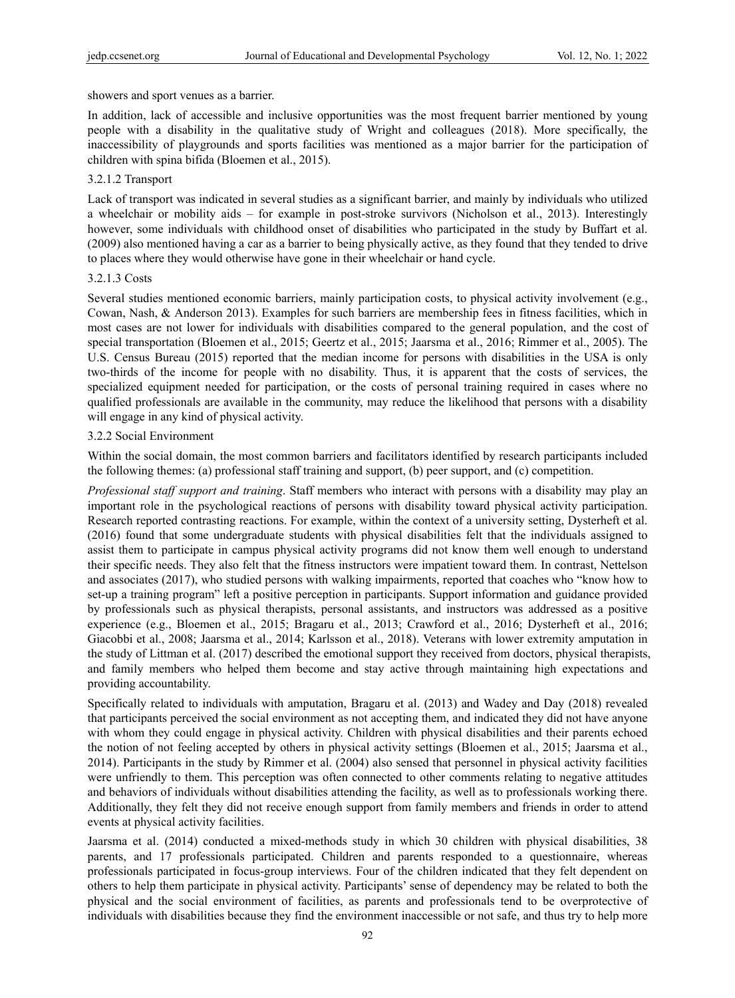showers and sport venues as a barrier.

In addition, lack of accessible and inclusive opportunities was the most frequent barrier mentioned by young people with a disability in the qualitative study of Wright and colleagues (2018). More specifically, the inaccessibility of playgrounds and sports facilities was mentioned as a major barrier for the participation of children with spina bifida (Bloemen et al., 2015).

#### 3.2.1.2 Transport

Lack of transport was indicated in several studies as a significant barrier, and mainly by individuals who utilized a wheelchair or mobility aids – for example in post-stroke survivors (Nicholson et al., 2013). Interestingly however, some individuals with childhood onset of disabilities who participated in the study by Buffart et al. (2009) also mentioned having a car as a barrier to being physically active, as they found that they tended to drive to places where they would otherwise have gone in their wheelchair or hand cycle.

#### 3.2.1.3 Costs

Several studies mentioned economic barriers, mainly participation costs, to physical activity involvement (e.g., Cowan, Nash, & Anderson 2013). Examples for such barriers are membership fees in fitness facilities, which in most cases are not lower for individuals with disabilities compared to the general population, and the cost of special transportation (Bloemen et al., 2015; Geertz et al., 2015; Jaarsma et al., 2016; Rimmer et al., 2005). The U.S. Census Bureau (2015) reported that the median income for persons with disabilities in the USA is only two-thirds of the income for people with no disability. Thus, it is apparent that the costs of services, the specialized equipment needed for participation, or the costs of personal training required in cases where no qualified professionals are available in the community, may reduce the likelihood that persons with a disability will engage in any kind of physical activity.

#### 3.2.2 Social Environment

Within the social domain, the most common barriers and facilitators identified by research participants included the following themes: (a) professional staff training and support, (b) peer support, and (c) competition.

*Professional staff support and training*. Staff members who interact with persons with a disability may play an important role in the psychological reactions of persons with disability toward physical activity participation. Research reported contrasting reactions. For example, within the context of a university setting, Dysterheft et al. (2016) found that some undergraduate students with physical disabilities felt that the individuals assigned to assist them to participate in campus physical activity programs did not know them well enough to understand their specific needs. They also felt that the fitness instructors were impatient toward them. In contrast, Nettelson and associates (2017), who studied persons with walking impairments, reported that coaches who "know how to set-up a training program" left a positive perception in participants. Support information and guidance provided by professionals such as physical therapists, personal assistants, and instructors was addressed as a positive experience (e.g., Bloemen et al., 2015; Bragaru et al., 2013; Crawford et al., 2016; Dysterheft et al., 2016; Giacobbi et al., 2008; Jaarsma et al., 2014; Karlsson et al., 2018). Veterans with lower extremity amputation in the study of Littman et al. (2017) described the emotional support they received from doctors, physical therapists, and family members who helped them become and stay active through maintaining high expectations and providing accountability.

Specifically related to individuals with amputation, Bragaru et al. (2013) and Wadey and Day (2018) revealed that participants perceived the social environment as not accepting them, and indicated they did not have anyone with whom they could engage in physical activity. Children with physical disabilities and their parents echoed the notion of not feeling accepted by others in physical activity settings (Bloemen et al., 2015; Jaarsma et al., 2014). Participants in the study by Rimmer et al. (2004) also sensed that personnel in physical activity facilities were unfriendly to them. This perception was often connected to other comments relating to negative attitudes and behaviors of individuals without disabilities attending the facility, as well as to professionals working there. Additionally, they felt they did not receive enough support from family members and friends in order to attend events at physical activity facilities.

Jaarsma et al. (2014) conducted a mixed-methods study in which 30 children with physical disabilities, 38 parents, and 17 professionals participated. Children and parents responded to a questionnaire, whereas professionals participated in focus-group interviews. Four of the children indicated that they felt dependent on others to help them participate in physical activity. Participants' sense of dependency may be related to both the physical and the social environment of facilities, as parents and professionals tend to be overprotective of individuals with disabilities because they find the environment inaccessible or not safe, and thus try to help more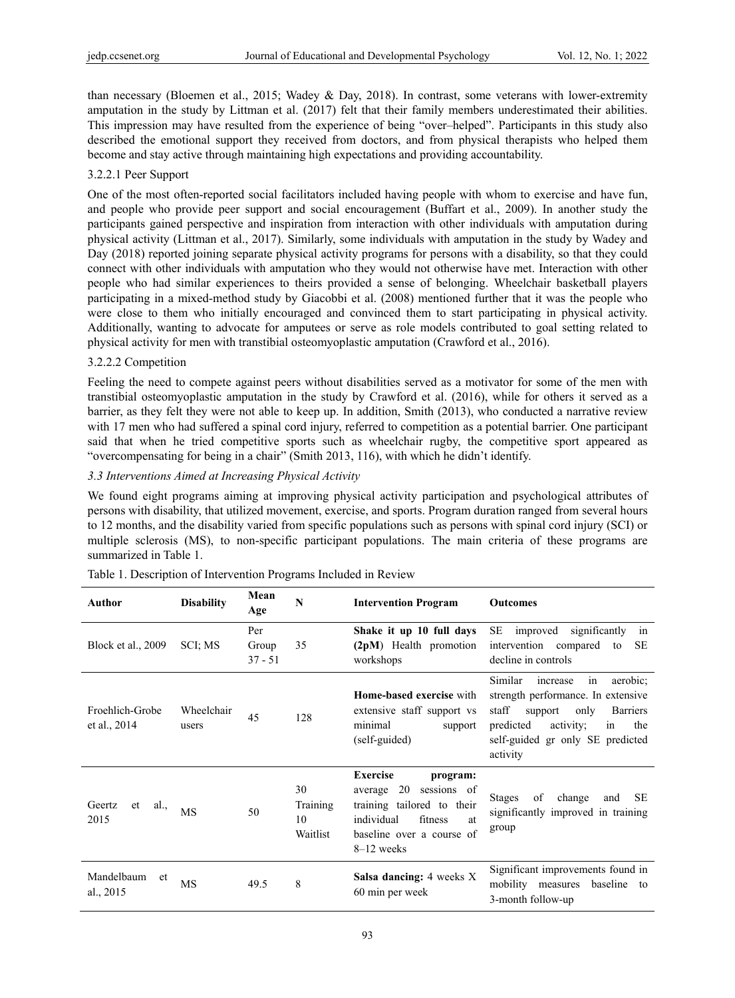than necessary (Bloemen et al., 2015; Wadey & Day, 2018). In contrast, some veterans with lower-extremity amputation in the study by Littman et al. (2017) felt that their family members underestimated their abilities. This impression may have resulted from the experience of being "over–helped". Participants in this study also described the emotional support they received from doctors, and from physical therapists who helped them become and stay active through maintaining high expectations and providing accountability.

#### 3.2.2.1 Peer Support

One of the most often-reported social facilitators included having people with whom to exercise and have fun, and people who provide peer support and social encouragement (Buffart et al., 2009). In another study the participants gained perspective and inspiration from interaction with other individuals with amputation during physical activity (Littman et al., 2017). Similarly, some individuals with amputation in the study by Wadey and Day (2018) reported joining separate physical activity programs for persons with a disability, so that they could connect with other individuals with amputation who they would not otherwise have met. Interaction with other people who had similar experiences to theirs provided a sense of belonging. Wheelchair basketball players participating in a mixed-method study by Giacobbi et al. (2008) mentioned further that it was the people who were close to them who initially encouraged and convinced them to start participating in physical activity. Additionally, wanting to advocate for amputees or serve as role models contributed to goal setting related to physical activity for men with transtibial osteomyoplastic amputation (Crawford et al., 2016).

#### 3.2.2.2 Competition

Feeling the need to compete against peers without disabilities served as a motivator for some of the men with transtibial osteomyoplastic amputation in the study by Crawford et al. (2016), while for others it served as a barrier, as they felt they were not able to keep up. In addition, Smith (2013), who conducted a narrative review with 17 men who had suffered a spinal cord injury, referred to competition as a potential barrier. One participant said that when he tried competitive sports such as wheelchair rugby, the competitive sport appeared as "overcompensating for being in a chair" (Smith 2013, 116), with which he didn't identify.

#### *3.3 Interventions Aimed at Increasing Physical Activity*

We found eight programs aiming at improving physical activity participation and psychological attributes of persons with disability, that utilized movement, exercise, and sports. Program duration ranged from several hours to 12 months, and the disability varied from specific populations such as persons with spinal cord injury (SCI) or multiple sclerosis (MS), to non-specific participant populations. The main criteria of these programs are summarized in Table 1.

| Author                          | <b>Disability</b>   | Mean<br>Age               | N                                | <b>Intervention Program</b>                                                                                                                                           | <b>Outcomes</b>                                                                                                                                                                                                   |
|---------------------------------|---------------------|---------------------------|----------------------------------|-----------------------------------------------------------------------------------------------------------------------------------------------------------------------|-------------------------------------------------------------------------------------------------------------------------------------------------------------------------------------------------------------------|
| Block et al., 2009              | SCI; MS             | Per<br>Group<br>$37 - 51$ | 35                               | Shake it up 10 full days<br>(2pM) Health promotion<br>workshops                                                                                                       | SE<br>significantly<br>improved<br>in<br>intervention compared<br><b>SE</b><br>to<br>decline in controls                                                                                                          |
| Froehlich-Grobe<br>et al., 2014 | Wheelchair<br>users | 45                        | 128                              | <b>Home-based exercise with</b><br>extensive staff support vs<br>minimal<br>support<br>(self-guided)                                                                  | in<br>Similar<br>aerobic;<br>increase<br>strength performance. In extensive<br>staff<br>only<br>support<br><b>Barriers</b><br>predicted<br>activity;<br>in<br>the<br>self-guided gr only SE predicted<br>activity |
| Geertz<br>al.,<br>et<br>2015    | <b>MS</b>           | 50                        | 30<br>Training<br>10<br>Waitlist | <b>Exercise</b><br>program:<br>20<br>sessions of<br>average<br>training tailored to their<br>individual<br>fitness<br>at<br>baseline over a course of<br>$8-12$ weeks | of<br>change<br><b>SE</b><br><b>Stages</b><br>and<br>significantly improved in training<br>group                                                                                                                  |
| Mandelbaum<br>et<br>al., 2015   | <b>MS</b>           | 49.5                      | 8                                | <b>Salsa dancing:</b> 4 weeks X<br>60 min per week                                                                                                                    | Significant improvements found in<br>mobility measures<br>baseline<br>to<br>3-month follow-up                                                                                                                     |

|  |  | Table 1. Description of Intervention Programs Included in Review |  |
|--|--|------------------------------------------------------------------|--|
|  |  |                                                                  |  |
|  |  |                                                                  |  |
|  |  |                                                                  |  |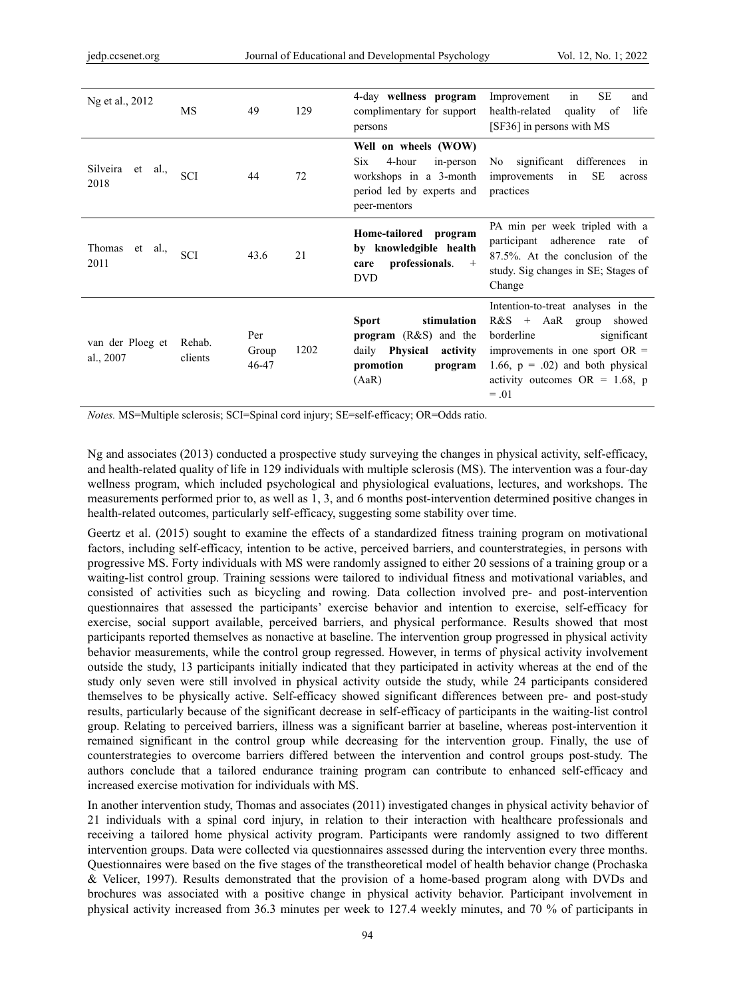| Ng et al., 2012               | MS                | 49                    | 129  | 4-day wellness program<br>complimentary for support<br>persons                                                                      | SE<br>Improvement<br>in<br>and<br>health-related<br>quality of<br>life<br>[SF36] in persons with MS                                                                                                                      |
|-------------------------------|-------------------|-----------------------|------|-------------------------------------------------------------------------------------------------------------------------------------|--------------------------------------------------------------------------------------------------------------------------------------------------------------------------------------------------------------------------|
| Silveira et al.,<br>2018      | <b>SCI</b>        | 44                    | 72   | Well on wheels (WOW)<br>4-hour<br>in-person<br>Six.<br>workshops in a 3-month<br>period led by experts and<br>peer-mentors          | No significant differences in<br>SE<br>improvements<br>in<br>across<br>practices                                                                                                                                         |
| Thomas et al.,<br>2011        | <b>SCI</b>        | 43.6                  | 21   | Home-tailored program<br>by knowledgible health<br>professionals.<br>$+$<br>care<br><b>DVD</b>                                      | PA min per week tripled with a<br>participant adherence rate of<br>87.5%. At the conclusion of the<br>study. Sig changes in SE; Stages of<br>Change                                                                      |
| van der Ploeg et<br>al., 2007 | Rehab.<br>clients | Per<br>Group<br>46-47 | 1202 | <b>Sport</b><br>stimulation<br><b>program</b> $(R&S)$ and the<br>daily <b>Physical</b><br>activity<br>promotion<br>program<br>(AaR) | Intention-to-treat analyses in the<br>$R&S + AaR$ group<br>showed<br>borderline<br>significant<br>improvements in one sport $OR =$<br>1.66, $p = .02$ ) and both physical<br>activity outcomes $OR = 1.68$ , p<br>$=.01$ |

*Notes.* MS=Multiple sclerosis; SCI=Spinal cord injury; SE=self-efficacy; OR=Odds ratio.

Ng and associates (2013) conducted a prospective study surveying the changes in physical activity, self-efficacy, and health-related quality of life in 129 individuals with multiple sclerosis (MS). The intervention was a four-day wellness program, which included psychological and physiological evaluations, lectures, and workshops. The measurements performed prior to, as well as 1, 3, and 6 months post-intervention determined positive changes in health-related outcomes, particularly self-efficacy, suggesting some stability over time.

Geertz et al. (2015) sought to examine the effects of a standardized fitness training program on motivational factors, including self-efficacy, intention to be active, perceived barriers, and counterstrategies, in persons with progressive MS. Forty individuals with MS were randomly assigned to either 20 sessions of a training group or a waiting-list control group. Training sessions were tailored to individual fitness and motivational variables, and consisted of activities such as bicycling and rowing. Data collection involved pre- and post-intervention questionnaires that assessed the participants' exercise behavior and intention to exercise, self-efficacy for exercise, social support available, perceived barriers, and physical performance. Results showed that most participants reported themselves as nonactive at baseline. The intervention group progressed in physical activity behavior measurements, while the control group regressed. However, in terms of physical activity involvement outside the study, 13 participants initially indicated that they participated in activity whereas at the end of the study only seven were still involved in physical activity outside the study, while 24 participants considered themselves to be physically active. Self-efficacy showed significant differences between pre- and post-study results, particularly because of the significant decrease in self-efficacy of participants in the waiting-list control group. Relating to perceived barriers, illness was a significant barrier at baseline, whereas post-intervention it remained significant in the control group while decreasing for the intervention group. Finally, the use of counterstrategies to overcome barriers differed between the intervention and control groups post-study. The authors conclude that a tailored endurance training program can contribute to enhanced self-efficacy and increased exercise motivation for individuals with MS.

In another intervention study, Thomas and associates (2011) investigated changes in physical activity behavior of 21 individuals with a spinal cord injury, in relation to their interaction with healthcare professionals and receiving a tailored home physical activity program. Participants were randomly assigned to two different intervention groups. Data were collected via questionnaires assessed during the intervention every three months. Questionnaires were based on the five stages of the transtheoretical model of health behavior change (Prochaska & Velicer, 1997). Results demonstrated that the provision of a home-based program along with DVDs and brochures was associated with a positive change in physical activity behavior. Participant involvement in physical activity increased from 36.3 minutes per week to 127.4 weekly minutes, and 70 % of participants in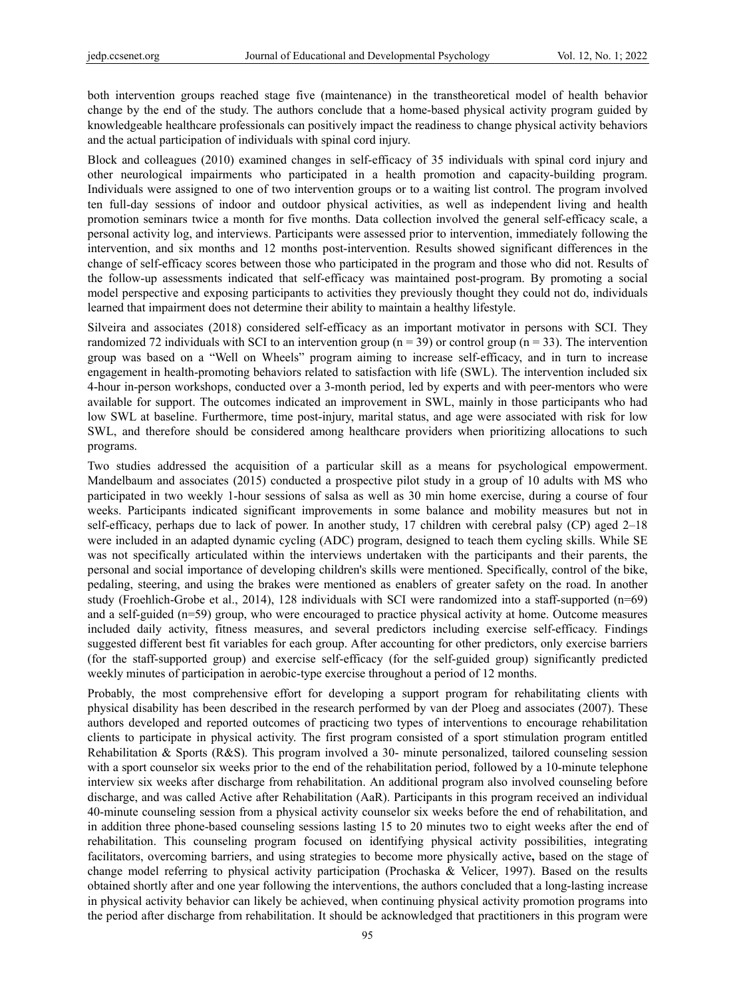both intervention groups reached stage five (maintenance) in the transtheoretical model of health behavior change by the end of the study. The authors conclude that a home-based physical activity program guided by knowledgeable healthcare professionals can positively impact the readiness to change physical activity behaviors and the actual participation of individuals with spinal cord injury.

Block and colleagues (2010) examined changes in self-efficacy of 35 individuals with spinal cord injury and other neurological impairments who participated in a health promotion and capacity-building program. Individuals were assigned to one of two intervention groups or to a waiting list control. The program involved ten full-day sessions of indoor and outdoor physical activities, as well as independent living and health promotion seminars twice a month for five months. Data collection involved the general self-efficacy scale, a personal activity log, and interviews. Participants were assessed prior to intervention, immediately following the intervention, and six months and 12 months post-intervention. Results showed significant differences in the change of self-efficacy scores between those who participated in the program and those who did not. Results of the follow-up assessments indicated that self-efficacy was maintained post-program. By promoting a social model perspective and exposing participants to activities they previously thought they could not do, individuals learned that impairment does not determine their ability to maintain a healthy lifestyle.

Silveira and associates (2018) considered self-efficacy as an important motivator in persons with SCI. They randomized 72 individuals with SCI to an intervention group ( $n = 39$ ) or control group ( $n = 33$ ). The intervention group was based on a "Well on Wheels" program aiming to increase self-efficacy, and in turn to increase engagement in health-promoting behaviors related to satisfaction with life (SWL). The intervention included six 4-hour in-person workshops, conducted over a 3-month period, led by experts and with peer-mentors who were available for support. The outcomes indicated an improvement in SWL, mainly in those participants who had low SWL at baseline. Furthermore, time post-injury, marital status, and age were associated with risk for low SWL, and therefore should be considered among healthcare providers when prioritizing allocations to such programs.

Two studies addressed the acquisition of a particular skill as a means for psychological empowerment. Mandelbaum and associates (2015) conducted a prospective pilot study in a group of 10 adults with MS who participated in two weekly 1-hour sessions of salsa as well as 30 min home exercise, during a course of four weeks. Participants indicated significant improvements in some balance and mobility measures but not in self-efficacy, perhaps due to lack of power. In another study, 17 children with cerebral palsy (CP) aged 2–18 were included in an adapted dynamic cycling (ADC) program, designed to teach them cycling skills. While SE was not specifically articulated within the interviews undertaken with the participants and their parents, the personal and social importance of developing children's skills were mentioned. Specifically, control of the bike, pedaling, steering, and using the brakes were mentioned as enablers of greater safety on the road. In another study (Froehlich-Grobe et al., 2014), 128 individuals with SCI were randomized into a staff-supported (n=69) and a self-guided (n=59) group, who were encouraged to practice physical activity at home. Outcome measures included daily activity, fitness measures, and several predictors including exercise self-efficacy. Findings suggested different best fit variables for each group. After accounting for other predictors, only exercise barriers (for the staff-supported group) and exercise self-efficacy (for the self-guided group) significantly predicted weekly minutes of participation in aerobic-type exercise throughout a period of 12 months.

Probably, the most comprehensive effort for developing a support program for rehabilitating clients with physical disability has been described in the research performed by van der Ploeg and associates (2007). These authors developed and reported outcomes of practicing two types of interventions to encourage rehabilitation clients to participate in physical activity. The first program consisted of a sport stimulation program entitled Rehabilitation & Sports (R&S). This program involved a 30- minute personalized, tailored counseling session with a sport counselor six weeks prior to the end of the rehabilitation period, followed by a 10-minute telephone interview six weeks after discharge from rehabilitation. An additional program also involved counseling before discharge, and was called Active after Rehabilitation (AaR). Participants in this program received an individual 40-minute counseling session from a physical activity counselor six weeks before the end of rehabilitation, and in addition three phone-based counseling sessions lasting 15 to 20 minutes two to eight weeks after the end of rehabilitation. This counseling program focused on identifying physical activity possibilities, integrating facilitators, overcoming barriers, and using strategies to become more physically active**,** based on the stage of change model referring to physical activity participation (Prochaska & Velicer, 1997). Based on the results obtained shortly after and one year following the interventions, the authors concluded that a long-lasting increase in physical activity behavior can likely be achieved, when continuing physical activity promotion programs into the period after discharge from rehabilitation. It should be acknowledged that practitioners in this program were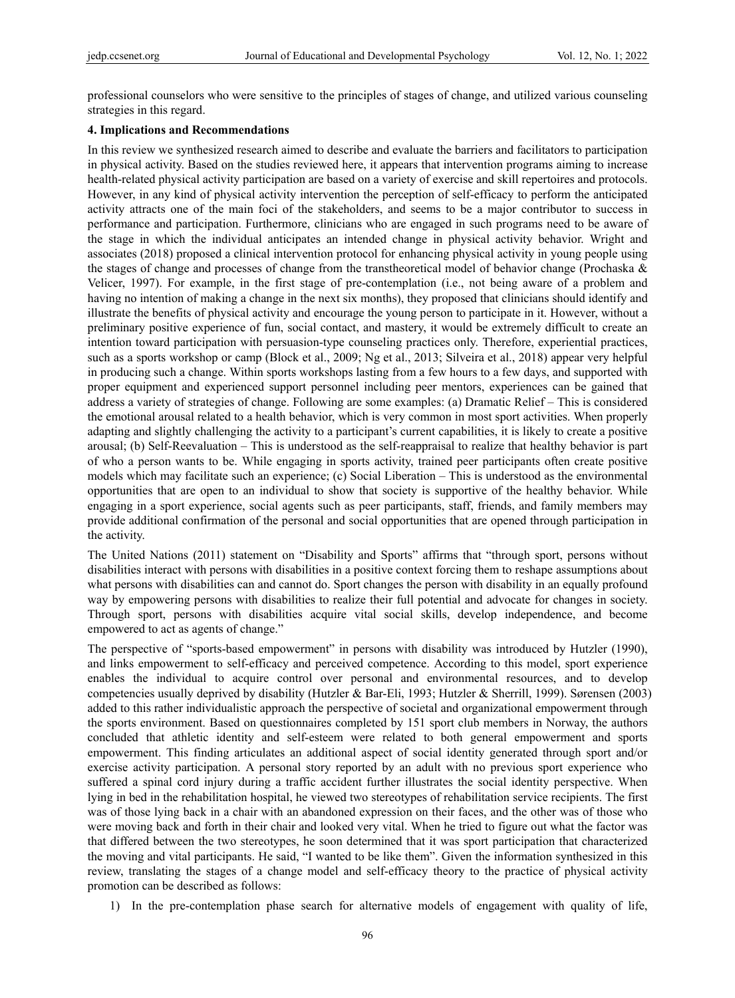professional counselors who were sensitive to the principles of stages of change, and utilized various counseling strategies in this regard.

#### **4. Implications and Recommendations**

In this review we synthesized research aimed to describe and evaluate the barriers and facilitators to participation in physical activity. Based on the studies reviewed here, it appears that intervention programs aiming to increase health-related physical activity participation are based on a variety of exercise and skill repertoires and protocols. However, in any kind of physical activity intervention the perception of self-efficacy to perform the anticipated activity attracts one of the main foci of the stakeholders, and seems to be a major contributor to success in performance and participation. Furthermore, clinicians who are engaged in such programs need to be aware of the stage in which the individual anticipates an intended change in physical activity behavior. Wright and associates (2018) proposed a clinical intervention protocol for enhancing physical activity in young people using the stages of change and processes of change from the transtheoretical model of behavior change (Prochaska & Velicer, 1997). For example, in the first stage of pre-contemplation (i.e., not being aware of a problem and having no intention of making a change in the next six months), they proposed that clinicians should identify and illustrate the benefits of physical activity and encourage the young person to participate in it. However, without a preliminary positive experience of fun, social contact, and mastery, it would be extremely difficult to create an intention toward participation with persuasion-type counseling practices only. Therefore, experiential practices, such as a sports workshop or camp (Block et al., 2009; Ng et al., 2013; Silveira et al., 2018) appear very helpful in producing such a change. Within sports workshops lasting from a few hours to a few days, and supported with proper equipment and experienced support personnel including peer mentors, experiences can be gained that address a variety of strategies of change. Following are some examples: (a) Dramatic Relief – This is considered the emotional arousal related to a health behavior, which is very common in most sport activities. When properly adapting and slightly challenging the activity to a participant's current capabilities, it is likely to create a positive arousal; (b) Self-Reevaluation – This is understood as the self-reappraisal to realize that healthy behavior is part of who a person wants to be. While engaging in sports activity, trained peer participants often create positive models which may facilitate such an experience; (c) Social Liberation – This is understood as the environmental opportunities that are open to an individual to show that society is supportive of the healthy behavior. While engaging in a sport experience, social agents such as peer participants, staff, friends, and family members may provide additional confirmation of the personal and social opportunities that are opened through participation in the activity.

The United Nations (2011) statement on "Disability and Sports" affirms that "through sport, persons without disabilities interact with persons with disabilities in a positive context forcing them to reshape assumptions about what persons with disabilities can and cannot do. Sport changes the person with disability in an equally profound way by empowering persons with disabilities to realize their full potential and advocate for changes in society. Through sport, persons with disabilities acquire vital social skills, develop independence, and become empowered to act as agents of change."

The perspective of "sports-based empowerment" in persons with disability was introduced by Hutzler (1990), and links empowerment to self-efficacy and perceived competence. According to this model, sport experience enables the individual to acquire control over personal and environmental resources, and to develop competencies usually deprived by disability (Hutzler & Bar-Eli, 1993; Hutzler & Sherrill, 1999). Sørensen (2003) added to this rather individualistic approach the perspective of societal and organizational empowerment through the sports environment. Based on questionnaires completed by 151 sport club members in Norway, the authors concluded that athletic identity and self-esteem were related to both general empowerment and sports empowerment. This finding articulates an additional aspect of social identity generated through sport and/or exercise activity participation. A personal story reported by an adult with no previous sport experience who suffered a spinal cord injury during a traffic accident further illustrates the social identity perspective. When lying in bed in the rehabilitation hospital, he viewed two stereotypes of rehabilitation service recipients. The first was of those lying back in a chair with an abandoned expression on their faces, and the other was of those who were moving back and forth in their chair and looked very vital. When he tried to figure out what the factor was that differed between the two stereotypes, he soon determined that it was sport participation that characterized the moving and vital participants. He said, "I wanted to be like them". Given the information synthesized in this review, translating the stages of a change model and self-efficacy theory to the practice of physical activity promotion can be described as follows:

1) In the pre-contemplation phase search for alternative models of engagement with quality of life,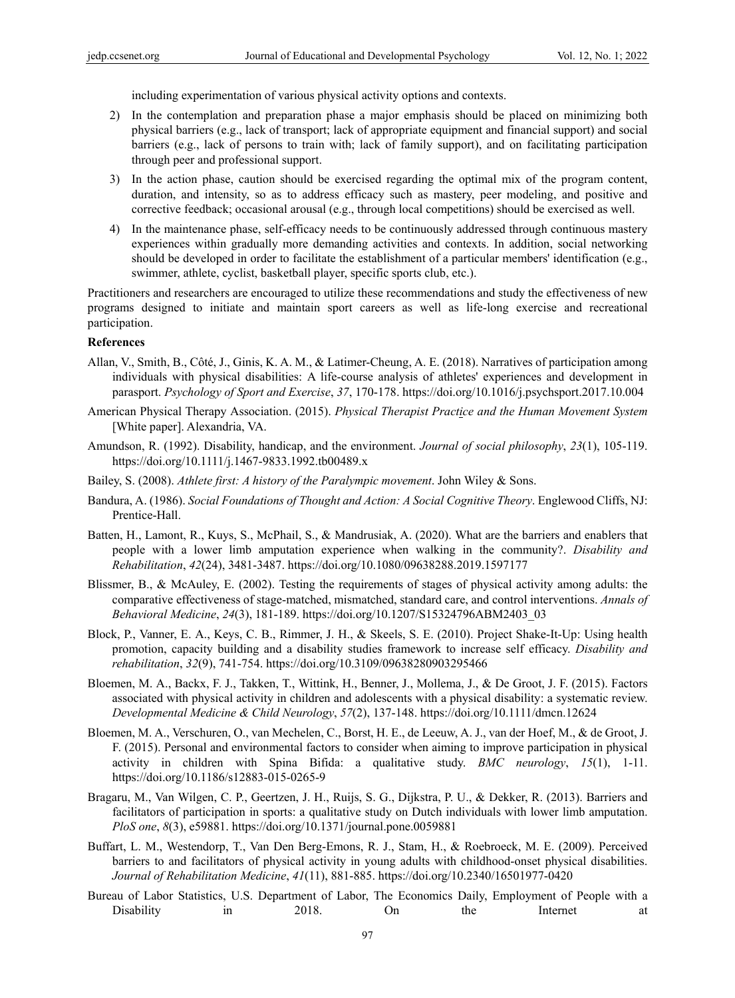including experimentation of various physical activity options and contexts.

- 2) In the contemplation and preparation phase a major emphasis should be placed on minimizing both physical barriers (e.g., lack of transport; lack of appropriate equipment and financial support) and social barriers (e.g., lack of persons to train with; lack of family support), and on facilitating participation through peer and professional support.
- 3) In the action phase, caution should be exercised regarding the optimal mix of the program content, duration, and intensity, so as to address efficacy such as mastery, peer modeling, and positive and corrective feedback; occasional arousal (e.g., through local competitions) should be exercised as well.
- 4) In the maintenance phase, self-efficacy needs to be continuously addressed through continuous mastery experiences within gradually more demanding activities and contexts. In addition, social networking should be developed in order to facilitate the establishment of a particular members' identification (e.g., swimmer, athlete, cyclist, basketball player, specific sports club, etc.).

Practitioners and researchers are encouraged to utilize these recommendations and study the effectiveness of new programs designed to initiate and maintain sport careers as well as life-long exercise and recreational participation.

#### **References**

- Allan, V., Smith, B., Côté, J., Ginis, K. A. M., & Latimer-Cheung, A. E. (2018). Narratives of participation among individuals with physical disabilities: A life-course analysis of athletes' experiences and development in parasport. *Psychology of Sport and Exercise*, *37*, 170-178. https://doi.org/10.1016/j.psychsport.2017.10.004
- American Physical Therapy Association. (2015). *Physical Therapist Practice and the Human Movement System* [White paper]. Alexandria, VA.
- Amundson, R. (1992). Disability, handicap, and the environment. *Journal of social philosophy*, *23*(1), 105-119. https://doi.org/10.1111/j.1467-9833.1992.tb00489.x
- Bailey, S. (2008). *Athlete first: A history of the Paralympic movement*. John Wiley & Sons.
- Bandura, A. (1986). *Social Foundations of Thought and Action: A Social Cognitive Theory*. Englewood Cliffs, NJ: Prentice-Hall.
- Batten, H., Lamont, R., Kuys, S., McPhail, S., & Mandrusiak, A. (2020). What are the barriers and enablers that people with a lower limb amputation experience when walking in the community?. *Disability and Rehabilitation*, *42*(24), 3481-3487. https://doi.org/10.1080/09638288.2019.1597177
- Blissmer, B., & McAuley, E. (2002). Testing the requirements of stages of physical activity among adults: the comparative effectiveness of stage-matched, mismatched, standard care, and control interventions. *Annals of Behavioral Medicine*, *24*(3), 181-189. https://doi.org/10.1207/S15324796ABM2403\_03
- Block, P., Vanner, E. A., Keys, C. B., Rimmer, J. H., & Skeels, S. E. (2010). Project Shake-It-Up: Using health promotion, capacity building and a disability studies framework to increase self efficacy. *Disability and rehabilitation*, *32*(9), 741-754. https://doi.org/10.3109/09638280903295466
- Bloemen, M. A., Backx, F. J., Takken, T., Wittink, H., Benner, J., Mollema, J., & De Groot, J. F. (2015). Factors associated with physical activity in children and adolescents with a physical disability: a systematic review. *Developmental Medicine & Child Neurology*, *57*(2), 137-148. https://doi.org/10.1111/dmcn.12624
- Bloemen, M. A., Verschuren, O., van Mechelen, C., Borst, H. E., de Leeuw, A. J., van der Hoef, M., & de Groot, J. F. (2015). Personal and environmental factors to consider when aiming to improve participation in physical activity in children with Spina Bifida: a qualitative study. *BMC neurology*, *15*(1), 1-11. https://doi.org/10.1186/s12883-015-0265-9
- Bragaru, M., Van Wilgen, C. P., Geertzen, J. H., Ruijs, S. G., Dijkstra, P. U., & Dekker, R. (2013). Barriers and facilitators of participation in sports: a qualitative study on Dutch individuals with lower limb amputation. *PloS one*, *8*(3), e59881. https://doi.org/10.1371/journal.pone.0059881
- Buffart, L. M., Westendorp, T., Van Den Berg-Emons, R. J., Stam, H., & Roebroeck, M. E. (2009). Perceived barriers to and facilitators of physical activity in young adults with childhood-onset physical disabilities. *Journal of Rehabilitation Medicine*, *41*(11), 881-885. https://doi.org/10.2340/16501977-0420
- Bureau of Labor Statistics, U.S. Department of Labor, The Economics Daily, Employment of People with a Disability in 2018. On the Internet at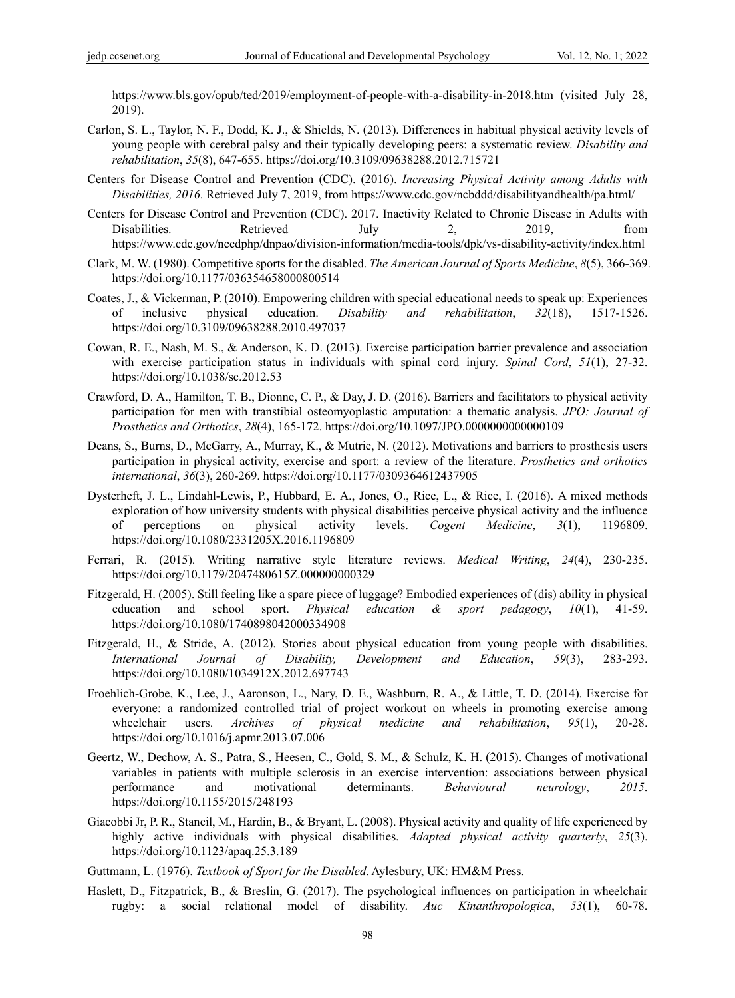https://www.bls.gov/opub/ted/2019/employment-of-people-with-a-disability-in-2018.htm (visited July 28, 2019).

- Carlon, S. L., Taylor, N. F., Dodd, K. J., & Shields, N. (2013). Differences in habitual physical activity levels of young people with cerebral palsy and their typically developing peers: a systematic review. *Disability and rehabilitation*, *35*(8), 647-655. https://doi.org/10.3109/09638288.2012.715721
- Centers for Disease Control and Prevention (CDC). (2016). *Increasing Physical Activity among Adults with Disabilities, 2016*. Retrieved July 7, 2019, from https://www.cdc.gov/ncbddd/disabilityandhealth/pa.html/
- Centers for Disease Control and Prevention (CDC). 2017. Inactivity Related to Chronic Disease in Adults with Disabilities. Retrieved July 2, 2019, from https://www.cdc.gov/nccdphp/dnpao/division-information/media-tools/dpk/vs-disability-activity/index.html
- Clark, M. W. (1980). Competitive sports for the disabled. *The American Journal of Sports Medicine*, *8*(5), 366-369. https://doi.org/10.1177/036354658000800514
- Coates, J., & Vickerman, P. (2010). Empowering children with special educational needs to speak up: Experiences of inclusive physical education. *Disability and rehabilitation*, *32*(18), 1517-1526. https://doi.org/10.3109/09638288.2010.497037
- Cowan, R. E., Nash, M. S., & Anderson, K. D. (2013). Exercise participation barrier prevalence and association with exercise participation status in individuals with spinal cord injury. *Spinal Cord*, *51*(1), 27-32. https://doi.org/10.1038/sc.2012.53
- Crawford, D. A., Hamilton, T. B., Dionne, C. P., & Day, J. D. (2016). Barriers and facilitators to physical activity participation for men with transtibial osteomyoplastic amputation: a thematic analysis. *JPO: Journal of Prosthetics and Orthotics*, *28*(4), 165-172. https://doi.org/10.1097/JPO.0000000000000109
- Deans, S., Burns, D., McGarry, A., Murray, K., & Mutrie, N. (2012). Motivations and barriers to prosthesis users participation in physical activity, exercise and sport: a review of the literature. *Prosthetics and orthotics international*, *36*(3), 260-269. https://doi.org/10.1177/0309364612437905
- Dysterheft, J. L., Lindahl-Lewis, P., Hubbard, E. A., Jones, O., Rice, L., & Rice, I. (2016). A mixed methods exploration of how university students with physical disabilities perceive physical activity and the influence of perceptions on physical activity levels. *Cogent Medicine*, *3*(1), 1196809. https://doi.org/10.1080/2331205X.2016.1196809
- Ferrari, R. (2015). Writing narrative style literature reviews. *Medical Writing*, *24*(4), 230-235. https://doi.org/10.1179/2047480615Z.000000000329
- Fitzgerald, H. (2005). Still feeling like a spare piece of luggage? Embodied experiences of (dis) ability in physical education and school sport. *Physical education & sport pedagogy*, *10*(1), 41-59. https://doi.org/10.1080/1740898042000334908
- Fitzgerald, H., & Stride, A. (2012). Stories about physical education from young people with disabilities. *International Journal of Disability, Development and Education*, *59*(3), 283-293. https://doi.org/10.1080/1034912X.2012.697743
- Froehlich-Grobe, K., Lee, J., Aaronson, L., Nary, D. E., Washburn, R. A., & Little, T. D. (2014). Exercise for everyone: a randomized controlled trial of project workout on wheels in promoting exercise among wheelchair users. *Archives of physical medicine and rehabilitation*, *95*(1), 20-28. https://doi.org/10.1016/j.apmr.2013.07.006
- Geertz, W., Dechow, A. S., Patra, S., Heesen, C., Gold, S. M., & Schulz, K. H. (2015). Changes of motivational variables in patients with multiple sclerosis in an exercise intervention: associations between physical performance and motivational determinants. *Behavioural neurology*, *2015*. https://doi.org/10.1155/2015/248193
- Giacobbi Jr, P. R., Stancil, M., Hardin, B., & Bryant, L. (2008). Physical activity and quality of life experienced by highly active individuals with physical disabilities. *Adapted physical activity quarterly*, *25*(3). https://doi.org/10.1123/apaq.25.3.189

Guttmann, L. (1976). *Textbook of Sport for the Disabled*. Aylesbury, UK: HM&M Press.

Haslett, D., Fitzpatrick, B., & Breslin, G. (2017). The psychological influences on participation in wheelchair rugby: a social relational model of disability. *Auc Kinanthropologica*, *53*(1), 60-78.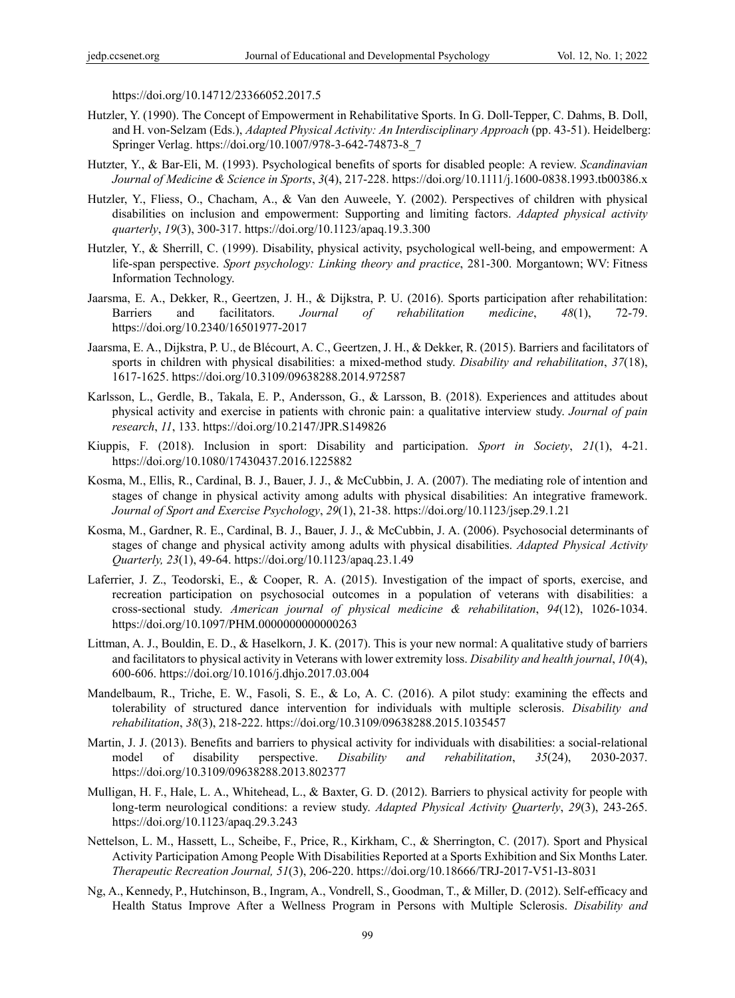https://doi.org/10.14712/23366052.2017.5

- Hutzler, Y. (1990). The Concept of Empowerment in Rehabilitative Sports. In G. Doll-Tepper, C. Dahms, B. Doll, and H. von-Selzam (Eds.), *Adapted Physical Activity: An Interdisciplinary Approach* (pp. 43-51). Heidelberg: Springer Verlag. https://doi.org/10.1007/978-3-642-74873-8\_7
- Hutzter, Y., & Bar‐Eli, M. (1993). Psychological benefits of sports for disabled people: A review. *Scandinavian Journal of Medicine & Science in Sports*, *3*(4), 217-228. https://doi.org/10.1111/j.1600-0838.1993.tb00386.x
- Hutzler, Y., Fliess, O., Chacham, A., & Van den Auweele, Y. (2002). Perspectives of children with physical disabilities on inclusion and empowerment: Supporting and limiting factors. *Adapted physical activity quarterly*, *19*(3), 300-317. https://doi.org/10.1123/apaq.19.3.300
- Hutzler, Y., & Sherrill, C. (1999). Disability, physical activity, psychological well-being, and empowerment: A life-span perspective. *Sport psychology: Linking theory and practice*, 281-300. Morgantown; WV: Fitness Information Technology.
- Jaarsma, E. A., Dekker, R., Geertzen, J. H., & Dijkstra, P. U. (2016). Sports participation after rehabilitation: Barriers and facilitators. *Journal of rehabilitation medicine*, *48*(1), 72-79. https://doi.org/10.2340/16501977-2017
- Jaarsma, E. A., Dijkstra, P. U., de Blécourt, A. C., Geertzen, J. H., & Dekker, R. (2015). Barriers and facilitators of sports in children with physical disabilities: a mixed-method study. *Disability and rehabilitation*, *37*(18), 1617-1625. https://doi.org/10.3109/09638288.2014.972587
- Karlsson, L., Gerdle, B., Takala, E. P., Andersson, G., & Larsson, B. (2018). Experiences and attitudes about physical activity and exercise in patients with chronic pain: a qualitative interview study. *Journal of pain research*, *11*, 133. https://doi.org/10.2147/JPR.S149826
- Kiuppis, F. (2018). Inclusion in sport: Disability and participation. *Sport in Society*, *21*(1), 4-21. https://doi.org/10.1080/17430437.2016.1225882
- Kosma, M., Ellis, R., Cardinal, B. J., Bauer, J. J., & McCubbin, J. A. (2007). The mediating role of intention and stages of change in physical activity among adults with physical disabilities: An integrative framework. *Journal of Sport and Exercise Psychology*, *29*(1), 21-38. https://doi.org/10.1123/jsep.29.1.21
- Kosma, M., Gardner, R. E., Cardinal, B. J., Bauer, J. J., & McCubbin, J. A. (2006). Psychosocial determinants of stages of change and physical activity among adults with physical disabilities. *Adapted Physical Activity Quarterly, 23*(1), 49-64. https://doi.org/10.1123/apaq.23.1.49
- Laferrier, J. Z., Teodorski, E., & Cooper, R. A. (2015). Investigation of the impact of sports, exercise, and recreation participation on psychosocial outcomes in a population of veterans with disabilities: a cross-sectional study. *American journal of physical medicine & rehabilitation*, *94*(12), 1026-1034. https://doi.org/10.1097/PHM.0000000000000263
- Littman, A. J., Bouldin, E. D., & Haselkorn, J. K. (2017). This is your new normal: A qualitative study of barriers and facilitators to physical activity in Veterans with lower extremity loss. *Disability and health journal*, *10*(4), 600-606. https://doi.org/10.1016/j.dhjo.2017.03.004
- Mandelbaum, R., Triche, E. W., Fasoli, S. E., & Lo, A. C. (2016). A pilot study: examining the effects and tolerability of structured dance intervention for individuals with multiple sclerosis. *Disability and rehabilitation*, *38*(3), 218-222. https://doi.org/10.3109/09638288.2015.1035457
- Martin, J. J. (2013). Benefits and barriers to physical activity for individuals with disabilities: a social-relational model of disability perspective. *Disability and rehabilitation*, *35*(24), 2030-2037. https://doi.org/10.3109/09638288.2013.802377
- Mulligan, H. F., Hale, L. A., Whitehead, L., & Baxter, G. D. (2012). Barriers to physical activity for people with long-term neurological conditions: a review study. *Adapted Physical Activity Quarterly*, *29*(3), 243-265. https://doi.org/10.1123/apaq.29.3.243
- Nettelson, L. M., Hassett, L., Scheibe, F., Price, R., Kirkham, C., & Sherrington, C. (2017). Sport and Physical Activity Participation Among People With Disabilities Reported at a Sports Exhibition and Six Months Later. *Therapeutic Recreation Journal, 51*(3), 206-220. https://doi.org/10.18666/TRJ-2017-V51-I3-8031
- Ng, A., Kennedy, P., Hutchinson, B., Ingram, A., Vondrell, S., Goodman, T., & Miller, D. (2012). Self-efficacy and Health Status Improve After a Wellness Program in Persons with Multiple Sclerosis. *Disability and*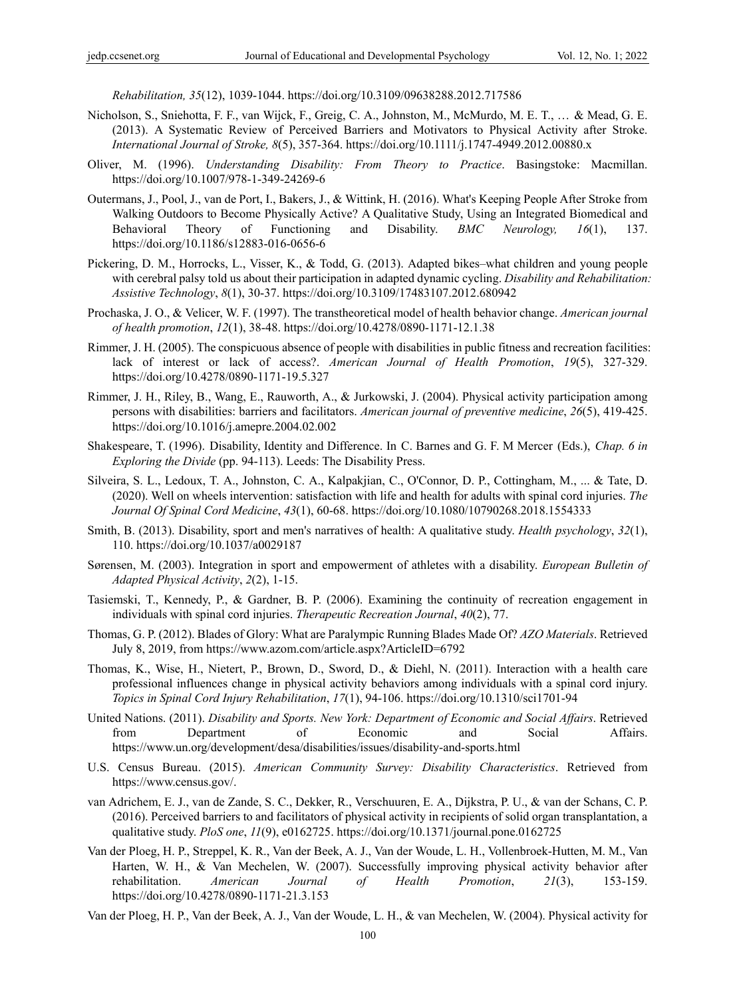*Rehabilitation, 35*(12), 1039-1044. https://doi.org/10.3109/09638288.2012.717586

- Nicholson, S., Sniehotta, F. F., van Wijck, F., Greig, C. A., Johnston, M., McMurdo, M. E. T., … & Mead, G. E. (2013). A Systematic Review of Perceived Barriers and Motivators to Physical Activity after Stroke. *International Journal of Stroke, 8*(5), 357-364. https://doi.org/10.1111/j.1747-4949.2012.00880.x
- Oliver, M. (1996). *Understanding Disability: From Theory to Practice*. Basingstoke: Macmillan. https://doi.org/10.1007/978-1-349-24269-6
- Outermans, J., Pool, J., van de Port, I., Bakers, J., & Wittink, H. (2016). What's Keeping People After Stroke from Walking Outdoors to Become Physically Active? A Qualitative Study, Using an Integrated Biomedical and Behavioral Theory of Functioning and Disability. *BMC Neurology, 16*(1), 137. https://doi.org/10.1186/s12883-016-0656-6
- Pickering, D. M., Horrocks, L., Visser, K., & Todd, G. (2013). Adapted bikes–what children and young people with cerebral palsy told us about their participation in adapted dynamic cycling. *Disability and Rehabilitation: Assistive Technology*, *8*(1), 30-37. https://doi.org/10.3109/17483107.2012.680942
- Prochaska, J. O., & Velicer, W. F. (1997). The transtheoretical model of health behavior change. *American journal of health promotion*, *12*(1), 38-48. https://doi.org/10.4278/0890-1171-12.1.38
- Rimmer, J. H. (2005). The conspicuous absence of people with disabilities in public fitness and recreation facilities: lack of interest or lack of access?. *American Journal of Health Promotion*, *19*(5), 327-329. https://doi.org/10.4278/0890-1171-19.5.327
- Rimmer, J. H., Riley, B., Wang, E., Rauworth, A., & Jurkowski, J. (2004). Physical activity participation among persons with disabilities: barriers and facilitators. *American journal of preventive medicine*, *26*(5), 419-425. https://doi.org/10.1016/j.amepre.2004.02.002
- Shakespeare, T. (1996). Disability, Identity and Difference. In C. Barnes and G. F. M Mercer (Eds.), *Chap. 6 in Exploring the Divide* (pp. 94-113). Leeds: The Disability Press.
- Silveira, S. L., Ledoux, T. A., Johnston, C. A., Kalpakjian, C., O'Connor, D. P., Cottingham, M., ... & Tate, D. (2020). Well on wheels intervention: satisfaction with life and health for adults with spinal cord injuries. *The Journal Of Spinal Cord Medicine*, *43*(1), 60-68. https://doi.org/10.1080/10790268.2018.1554333
- Smith, B. (2013). Disability, sport and men's narratives of health: A qualitative study. *Health psychology*, *32*(1), 110. https://doi.org/10.1037/a0029187
- Sørensen, M. (2003). Integration in sport and empowerment of athletes with a disability. *European Bulletin of Adapted Physical Activity*, *2*(2), 1-15.
- Tasiemski, T., Kennedy, P., & Gardner, B. P. (2006). Examining the continuity of recreation engagement in individuals with spinal cord injuries. *Therapeutic Recreation Journal*, *40*(2), 77.
- Thomas, G. P. (2012). Blades of Glory: What are Paralympic Running Blades Made Of? *AZO Materials*. Retrieved July 8, 2019, from https://www.azom.com/article.aspx?ArticleID=6792
- Thomas, K., Wise, H., Nietert, P., Brown, D., Sword, D., & Diehl, N. (2011). Interaction with a health care professional influences change in physical activity behaviors among individuals with a spinal cord injury. *Topics in Spinal Cord Injury Rehabilitation*, *17*(1), 94-106. https://doi.org/10.1310/sci1701-94
- United Nations. (2011). *Disability and Sports. New York: Department of Economic and Social Affairs*. Retrieved from Department of Economic and Social Affairs. https://www.un.org/development/desa/disabilities/issues/disability-and-sports.html
- U.S. Census Bureau. (2015). *American Community Survey: Disability Characteristics*. Retrieved from https://www.census.gov/.
- van Adrichem, E. J., van de Zande, S. C., Dekker, R., Verschuuren, E. A., Dijkstra, P. U., & van der Schans, C. P. (2016). Perceived barriers to and facilitators of physical activity in recipients of solid organ transplantation, a qualitative study. *PloS one*, *11*(9), e0162725. https://doi.org/10.1371/journal.pone.0162725
- Van der Ploeg, H. P., Streppel, K. R., Van der Beek, A. J., Van der Woude, L. H., Vollenbroek-Hutten, M. M., Van Harten, W. H., & Van Mechelen, W. (2007). Successfully improving physical activity behavior after rehabilitation. *American Journal of Health Promotion*, *21*(3), 153-159. https://doi.org/10.4278/0890-1171-21.3.153

Van der Ploeg, H. P., Van der Beek, A. J., Van der Woude, L. H., & van Mechelen, W. (2004). Physical activity for